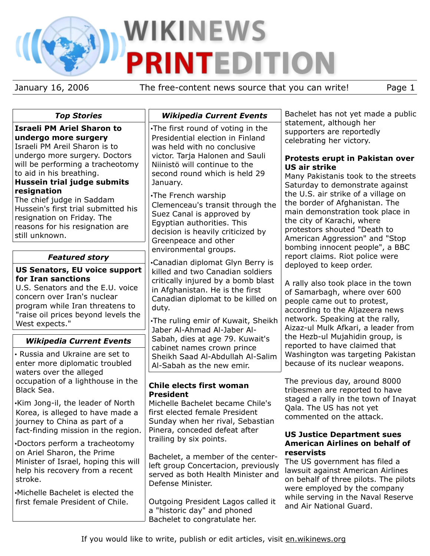# **WIKINEWS TEDITION** P

January 16, 2006 The free-content news source that you can write! Page 1

| <b>Top Stories</b>                                                                                                                                                                                                        | <b>Wikipedia Current Events</b>                                                                                                                                                                                                                                  | Bachelet has not yet made a public                                                                                                                                                                                                           |
|---------------------------------------------------------------------------------------------------------------------------------------------------------------------------------------------------------------------------|------------------------------------------------------------------------------------------------------------------------------------------------------------------------------------------------------------------------------------------------------------------|----------------------------------------------------------------------------------------------------------------------------------------------------------------------------------------------------------------------------------------------|
| <b>Israeli PM Ariel Sharon to</b><br>undergo more surgery<br>Israeli PM Areil Sharon is to<br>undergo more surgery. Doctors                                                                                               | . The first round of voting in the<br>Presidential election in Finland<br>was held with no conclusive                                                                                                                                                            | statement, although her<br>supporters are reportedly<br>celebrating her victory.                                                                                                                                                             |
| will be performing a tracheotomy<br>to aid in his breathing.<br>Hussein trial judge submits                                                                                                                               | victor. Tarja Halonen and Sauli<br>Niinistö will continue to the<br>second round which is held 29<br>January.                                                                                                                                                    | Protests erupt in Pakistan over<br><b>US air strike</b><br>Many Pakistanis took to the streets<br>Saturday to demonstrate against                                                                                                            |
| resignation<br>The chief judge in Saddam<br>Hussein's first trial submitted his<br>resignation on Friday. The<br>reasons for his resignation are<br>still unknown.                                                        | •The French warship<br>Clemenceau's transit through the<br>Suez Canal is approved by<br>Egyptian authorities. This<br>decision is heavily criticized by<br>Greenpeace and other<br>environmental groups.                                                         | the U.S. air strike of a village on<br>the border of Afghanistan. The<br>main demonstration took place in<br>the city of Karachi, where<br>protestors shouted "Death to<br>American Aggression" and "Stop<br>bombing innocent people", a BBC |
| <b>Featured story</b>                                                                                                                                                                                                     | •Canadian diplomat Glyn Berry is<br>killed and two Canadian soldiers<br>critically injured by a bomb blast<br>in Afghanistan. He is the first<br>Canadian diplomat to be killed on<br>duty.<br>.The ruling emir of Kuwait, Sheikh<br>Jaber Al-Ahmad Al-Jaber Al- | report claims. Riot police were                                                                                                                                                                                                              |
| <b>US Senators, EU voice support</b><br>for Iran sanctions<br>U.S. Senators and the E.U. voice<br>concern over Iran's nuclear<br>program while Iran threatens to<br>"raise oil prices beyond levels the<br>West expects." |                                                                                                                                                                                                                                                                  | deployed to keep order.<br>A rally also took place in the town<br>of Samarbagh, where over 600<br>people came out to protest,<br>according to the Aljazeera news<br>network. Speaking at the rally,<br>Aizaz-ul Mulk Afkari, a leader from   |
| <b>Wikipedia Current Events</b><br>• Russia and Ukraine are set to<br>enter more diplomatic troubled                                                                                                                      | Sabah, dies at age 79. Kuwait's<br>cabinet names crown prince<br>Sheikh Saad Al-Abdullah Al-Salim<br>Al-Sabah as the new emir.                                                                                                                                   | the Hezb-ul Mujahidin group, is<br>reported to have claimed that<br>Washington was targeting Pakistan<br>because of its nuclear weapons.                                                                                                     |
| waters over the alleged<br>occupation of a lighthouse in the<br>Black Sea.                                                                                                                                                | Chile elects first woman<br><b>President</b>                                                                                                                                                                                                                     | The previous day, around 8000<br>tribesmen are reported to have                                                                                                                                                                              |
| Kim Jong-il, the leader of North<br>Korea, is alleged to have made a<br>journey to China as part of a<br>fact-finding mission in the region.                                                                              | Michelle Bachelet became Chile's<br>first elected female President<br>Sunday when her rival, Sebastian<br>Pinera, conceded defeat after                                                                                                                          | staged a rally in the town of Inayat<br>Qala. The US has not yet<br>commented on the attack.                                                                                                                                                 |
| Doctors perform a tracheotomy<br>on Ariel Sharon, the Prime                                                                                                                                                               | trailing by six points.                                                                                                                                                                                                                                          | <b>US Justice Department sues</b><br><b>American Airlines on behalf of</b><br>reservists                                                                                                                                                     |
| Minister of Israel, hoping this will<br>help his recovery from a recent<br>stroke.                                                                                                                                        | Bachelet, a member of the center-<br>left group Concertacion, previously<br>served as both Health Minister and<br>Defense Minister.                                                                                                                              | The US government has filed a<br>lawsuit against American Airlines<br>on behalf of three pilots. The pilots<br>were employed by the company                                                                                                  |
| Michelle Bachelet is elected the<br>first female President of Chile.                                                                                                                                                      | Outgoing President Lagos called it<br>a "historic day" and phoned<br>Bachelet to congratulate her.                                                                                                                                                               | while serving in the Naval Reserve<br>and Air National Guard.                                                                                                                                                                                |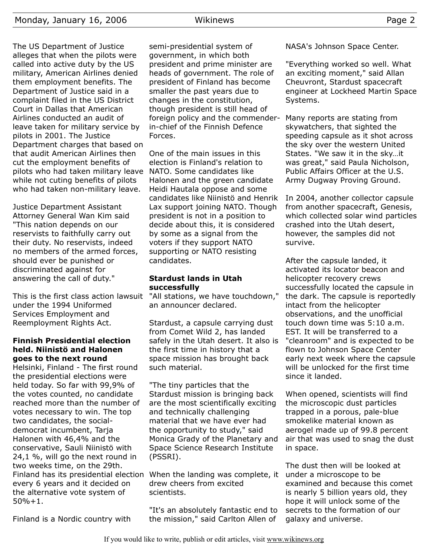Monday, January 16, 2006 Wikinews Page 2 The US Department of Justice alleges that when the pilots were called into active duty by the US military, American Airlines denied them employment benefits. The Department of Justice said in a complaint filed in the US District Court in Dallas that American Airlines conducted an audit of leave taken for military service by pilots in 2001. The Justice Department charges that based on that audit American Airlines then cut the employment benefits of Forces.

while not cuting benefits of pilots who had taken non-military leave. Justice Department Assistant Attorney General Wan Kim said "This nation depends on our reservists to faithfully carry out their duty. No reservists, indeed no members of the armed forces, should ever be punished or discriminated against for answering the call of duty."

pilots who had taken military leave

This is the first class action lawsuit under the 1994 Uniformed Services Employment and Reemployment Rights Act.

## **Finnish Presidential election held. Niinistö and Halonen goes to the next round**

Helsinki, Finland - The first round the presidential elections were held today. So far with 99,9% of the votes counted, no candidate reached more than the number of votes necessary to win. The top two candidates, the socialdemocrat incumbent, Tarja Halonen with 46,4% and the conservative, Sauli Niinistö with 24,1 %, will go the next round in two weeks time, on the 29th. Finland has its presidential election When the landing was complete, it every 6 years and it decided on the alternative vote system of  $50% + 1$ .

Finland is a Nordic country with

semi-presidential system of government, in which both president and prime minister are heads of government. The role of president of Finland has become smaller the past years due to changes in the constitution, though president is still head of foreign policy and the commenderin-chief of the Finnish Defence

One of the main issues in this election is Finland's relation to NATO. Some candidates like Halonen and the green candidate Heidi Hautala oppose and some candidates like Niinistö and Henrik Lax support joining NATO. Though president is not in a position to decide about this, it is considered by some as a signal from the voters if they support NATO supporting or NATO resisting candidates.

## **Stardust lands in Utah successfully**

"All stations, we have touchdown," an announcer declared.

Stardust, a capsule carrying dust from Comet Wild 2, has landed safely in the Utah desert. It also is the first time in history that a space mission has brought back such material.

"The tiny particles that the Stardust mission is bringing back are the most scientifically exciting and technically challenging material that we have ever had the opportunity to study," said Monica Grady of the Planetary and Space Science Research Institute (PSSRI).

drew cheers from excited scientists.

"It's an absolutely fantastic end to the mission," said Carlton Allen of

NASA's Johnson Space Center.

"Everything worked so well. What an exciting moment," said Allan Cheuvront, Stardust spacecraft engineer at Lockheed Martin Space Systems.

Many reports are stating from skywatchers, that sighted the speeding capsule as it shot across the sky over the western United States. "We saw it in the sky…it was great," said Paula Nicholson, Public Affairs Officer at the U.S. Army Dugway Proving Ground.

In 2004, another collector capsule from another spacecraft, Genesis, which collected solar wind particles crashed into the Utah desert, however, the samples did not survive.

After the capsule landed, it activated its locator beacon and helicopter recovery crews successfully located the capsule in the dark. The capsule is reportedly intact from the helicopter observations, and the unofficial touch down time was 5:10 a.m. EST. It will be transferred to a "cleanroom" and is expected to be flown to Johnson Space Center early next week where the capsule will be unlocked for the first time since it landed.

When opened, scientists will find the microscopic dust particles trapped in a porous, pale-blue smokelike material known as aerogel made up of 99.8 percent air that was used to snag the dust in space.

The dust then will be looked at under a microscope to be examined and because this comet is nearly 5 billion years old, they hope it will unlock some of the secrets to the formation of our galaxy and universe.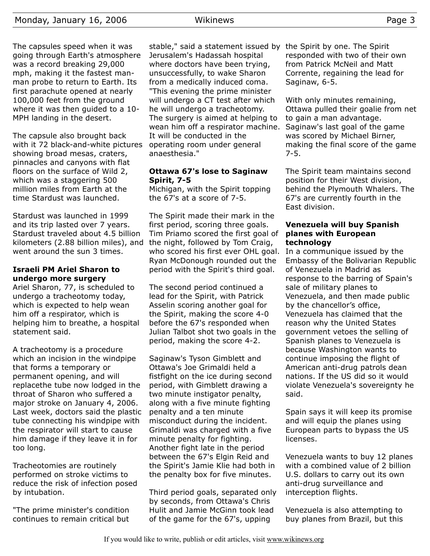The capsules speed when it was going through Earth's atmosphere was a record breaking 29,000 mph, making it the fastest manman probe to return to Earth. Its first parachute opened at nearly 100,000 feet from the ground where it was then guided to a 10- MPH landing in the desert.

The capsule also brought back with it 72 black-and-white pictures showing broad mesas, craters, pinnacles and canyons with flat floors on the surface of Wild 2, which was a staggering 500 million miles from Earth at the time Stardust was launched.

Stardust was launched in 1999 and its trip lasted over 7 years. Stardust traveled about 4.5 billion kilometers (2.88 billion miles), and the night, followed by Tom Craig, went around the sun 3 times.

# **Israeli PM Ariel Sharon to undergo more surgery**

Ariel Sharon, 77, is scheduled to undergo a tracheotomy today, which is expected to help wean him off a respirator, which is helping him to breathe, a hospital statement said.

A tracheotomy is a procedure which an incision in the windpipe that forms a temporary or permanent opening, and will replacethe tube now lodged in the throat of Sharon who suffered a major stroke on January 4, 2006. Last week, doctors said the plastic tube connecting his windpipe with the respirator will start to cause him damage if they leave it in for too long.

Tracheotomies are routinely performed on stroke victims to reduce the risk of infection posed by intubation.

"The prime minister's condition continues to remain critical but

stable," said a statement issued by the Spirit by one. The Spirit Jerusalem's Hadassah hospital where doctors have been trying, unsuccessfully, to wake Sharon from a medically induced coma. "This evening the prime minister will undergo a CT test after which he will undergo a tracheotomy. The surgery is aimed at helping to wean him off a respirator machine. It will be conducted in the operating room under general anaesthesia."

## **Ottawa 67's lose to Saginaw Spirit, 7-5**

Michigan, with the Spirit topping the 67's at a score of 7-5.

The Spirit made their mark in the first period, scoring three goals. Tim Priamo scored the first goal of who scored his first ever OHL goal. Ryan McDonough rounded out the period with the Spirit's third goal.

The second period continued a lead for the Spirit, with Patrick Asselin scoring another goal for the Spirit, making the score 4-0 before the 67's responded when Julian Talbot shot two goals in the period, making the score 4-2.

Saginaw's Tyson Gimblett and Ottawa's Joe Grimaldi held a fistfight on the ice during second period, with Gimblett drawing a two minute instigator penalty, along with a five minute fighting penalty and a ten minute misconduct during the incident. Grimaldi was charged with a five minute penalty for fighting. Another fight late in the period between the 67's Elgin Reid and the Spirit's Jamie Klie had both in the penalty box for five minutes.

Third period goals, separated only by seconds, from Ottawa's Chris Hulit and Jamie McGinn took lead of the game for the 67's, upping

responded with two of their own from Patrick McNeil and Matt Corrente, regaining the lead for Saginaw, 6-5.

With only minutes remaining, Ottawa pulled their goalie from net to gain a man advantage. Saginaw's last goal of the game was scored by Michael Birner, making the final score of the game 7-5.

The Spirit team maintains second position for their West division, behind the Plymouth Whalers. The 67's are currently fourth in the East division.

## **Venezuela will buy Spanish planes with European technology**

In a communique issued by the Embassy of the Bolivarian Republic of Venezuela in Madrid as response to the barring of Spain's sale of military planes to Venezuela, and then made public by the chancellor's office, Venezuela has claimed that the reason why the United States government vetoes the selling of Spanish planes to Venezuela is because Washington wants to continue imposing the flight of American anti-drug patrols dean nations. If the US did so it would violate Venezuela's sovereignty he said.

Spain says it will keep its promise and will equip the planes using European parts to bypass the US licenses.

Venezuela wants to buy 12 planes with a combined value of 2 billion U.S. dollars to carry out its own anti-drug surveillance and interception flights.

Venezuela is also attempting to buy planes from Brazil, but this